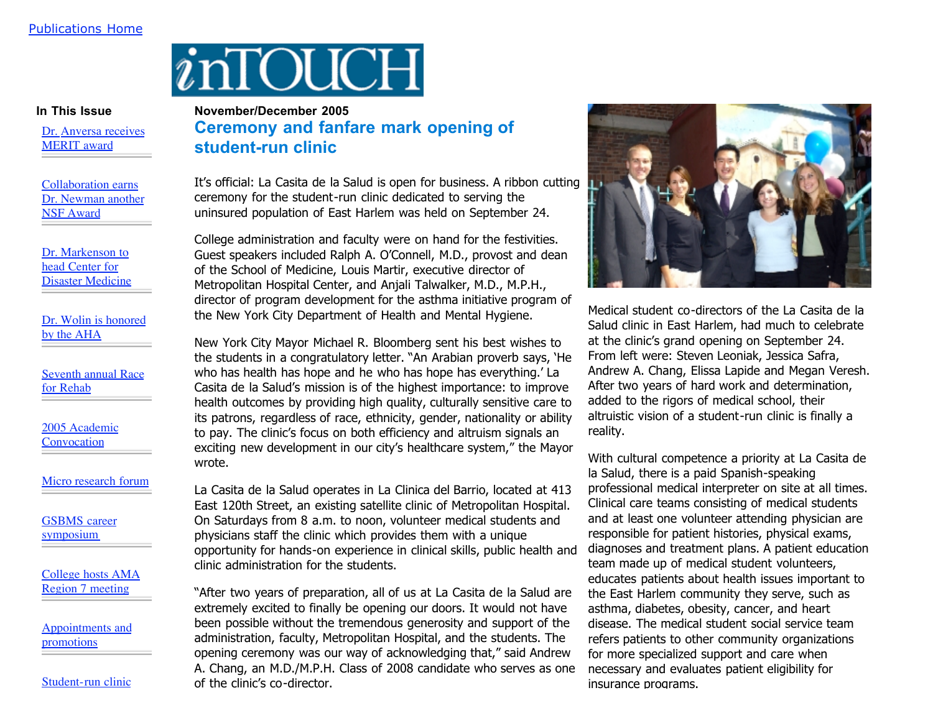## inTOUCH

**In This Issue**

Dr. Anversa receives MERIT award

Collaboration earns Dr. Newman another NSF Award

Dr. Markenson to head Center for Disaster Medicine

Dr. Wolin is honored by the AHA

Seventh annual Race for Rehab

2005 Academic **Convocation** 

Micro research forum

GSBMS career symposium

College hosts AMA Region 7 meeting

Appointments and promotions

Student-run clinic

## **November/December 2005 Ceremony and fanfare mark opening of student-run clinic**

It's official: La Casita de la Salud is open for business. A ribbon cutting ceremony for the student-run clinic dedicated to serving the uninsured population of East Harlem was held on September 24.

College administration and faculty were on hand for the festivities. Guest speakers included Ralph A. O'Connell, M.D., provost and dean of the School of Medicine, Louis Martir, executive director of Metropolitan Hospital Center, and Anjali Talwalker, M.D., M.P.H., director of program development for the asthma initiative program of the New York City Department of Health and Mental Hygiene.

New York City Mayor Michael R. Bloomberg sent his best wishes to the students in a congratulatory letter. "An Arabian proverb says, 'He who has health has hope and he who has hope has everything.' La Casita de la Salud's mission is of the highest importance: to improve health outcomes by providing high quality, culturally sensitive care to its patrons, regardless of race, ethnicity, gender, nationality or ability to pay. The clinic's focus on both efficiency and altruism signals an exciting new development in our city's healthcare system," the Mayor wrote.

La Casita de la Salud operates in La Clinica del Barrio, located at 413 East 120th Street, an existing satellite clinic of Metropolitan Hospital. On Saturdays from 8 a.m. to noon, volunteer medical students and physicians staff the clinic which provides them with a unique opportunity for hands-on experience in clinical skills, public health and clinic administration for the students.

"After two years of preparation, all of us at La Casita de la Salud are extremely excited to finally be opening our doors. It would not have been possible without the tremendous generosity and support of the administration, faculty, Metropolitan Hospital, and the students. The opening ceremony was our way of acknowledging that," said Andrew A. Chang, an M.D./M.P.H. Class of 2008 candidate who serves as one of the clinic's co-director.



Medical student co-directors of the La Casita de la Salud clinic in East Harlem, had much to celebrate at the clinic's grand opening on September 24. From left were: Steven Leoniak, Jessica Safra, Andrew A. Chang, Elissa Lapide and Megan Veresh. After two years of hard work and determination, added to the rigors of medical school, their altruistic vision of a student-run clinic is finally a reality.

With cultural competence a priority at La Casita de la Salud, there is a paid Spanish-speaking professional medical interpreter on site at all times. Clinical care teams consisting of medical students and at least one volunteer attending physician are responsible for patient histories, physical exams, diagnoses and treatment plans. A patient education team made up of medical student volunteers, educates patients about health issues important to the East Harlem community they serve, such as asthma, diabetes, obesity, cancer, and heart disease. The medical student social service team refers patients to other community organizations for more specialized support and care when necessary and evaluates patient eligibility for insurance programs.